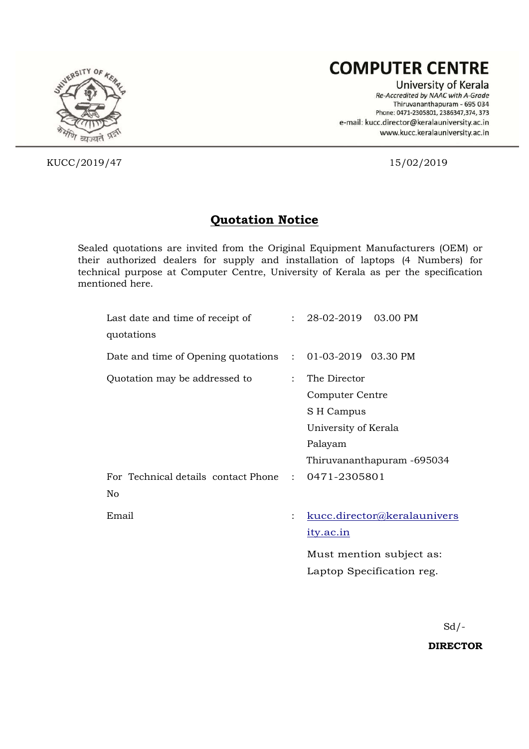# **COMPUTER CENTRE**

University of Kerala Re-Accredited by NAAC with A-Grade Thiruvananthapuram - 695 034 Phone: 0471-2305801, 2386347,374, 373 e-mail: kucc.director@keralauniversity.ac.in www.kucc.keralauniversity.ac.in



KUCC/2019/47 15/02/2019

## **Quotation Notice**

Sealed quotations are invited from the Original Equipment Manufacturers (OEM) or their authorized dealers for supply and installation of laptops (4 Numbers) for technical purpose at Computer Centre, University of Kerala as per the specification mentioned here.

| Last date and time of receipt of<br>quotations            |                      | $: 28-02-2019$ 03.00 PM     |
|-----------------------------------------------------------|----------------------|-----------------------------|
| Date and time of Opening quotations : 01-03-2019 03.30 PM |                      |                             |
| Quotation may be addressed to                             | $\mathbf{L}$         | The Director                |
|                                                           |                      | Computer Centre             |
|                                                           |                      | S H Campus                  |
|                                                           |                      | University of Kerala        |
|                                                           |                      | Palayam                     |
|                                                           |                      | Thiruvananthapuram -695034  |
| For Technical details contact Phone : 0471-2305801<br>No  |                      |                             |
| Email                                                     | $\ddot{\phantom{a}}$ | kucc.director@keralaunivers |
|                                                           |                      | <u>ity.ac.in</u>            |
|                                                           |                      | Must mention subject as:    |
|                                                           |                      | Laptop Specification reg.   |

 $Sd$  /-

**DIRECTOR**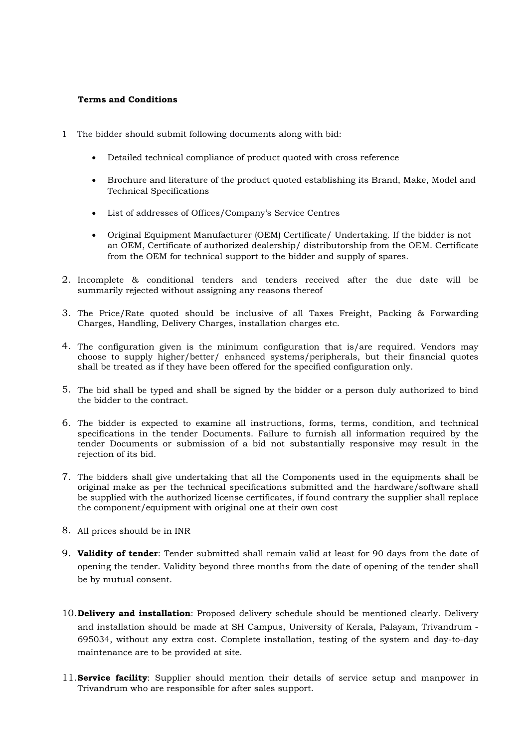#### **Terms and Conditions**

- 1 The bidder should submit following documents along with bid:
	- Detailed technical compliance of product quoted with cross reference
	- Brochure and literature of the product quoted establishing its Brand, Make, Model and Technical Specifications
	- List of addresses of Offices/Company's Service Centres
	- Original Equipment Manufacturer (OEM) Certificate/ Undertaking. If the bidder is not an OEM, Certificate of authorized dealership/ distributorship from the OEM. Certificate from the OEM for technical support to the bidder and supply of spares.
- 2. Incomplete & conditional tenders and tenders received after the due date will be summarily rejected without assigning any reasons thereof
- 3. The Price/Rate quoted should be inclusive of all Taxes Freight, Packing & Forwarding Charges, Handling, Delivery Charges, installation charges etc.
- 4. The configuration given is the minimum configuration that is/are required. Vendors may choose to supply higher/better/ enhanced systems/peripherals, but their financial quotes shall be treated as if they have been offered for the specified configuration only.
- 5. The bid shall be typed and shall be signed by the bidder or a person duly authorized to bind the bidder to the contract.
- 6. The bidder is expected to examine all instructions, forms, terms, condition, and technical specifications in the tender Documents. Failure to furnish all information required by the tender Documents or submission of a bid not substantially responsive may result in the rejection of its bid.
- 7. The bidders shall give undertaking that all the Components used in the equipments shall be original make as per the technical specifications submitted and the hardware/software shall be supplied with the authorized license certificates, if found contrary the supplier shall replace the component/equipment with original one at their own cost
- 8. All prices should be in INR
- 9. **Validity of tender**: Tender submitted shall remain valid at least for 90 days from the date of opening the tender. Validity beyond three months from the date of opening of the tender shall be by mutual consent.
- 10.**Delivery and installation**: Proposed delivery schedule should be mentioned clearly. Delivery and installation should be made at SH Campus, University of Kerala, Palayam, Trivandrum - 695034, without any extra cost. Complete installation, testing of the system and day-to-day maintenance are to be provided at site.
- 11.**Service facility**: Supplier should mention their details of service setup and manpower in Trivandrum who are responsible for after sales support.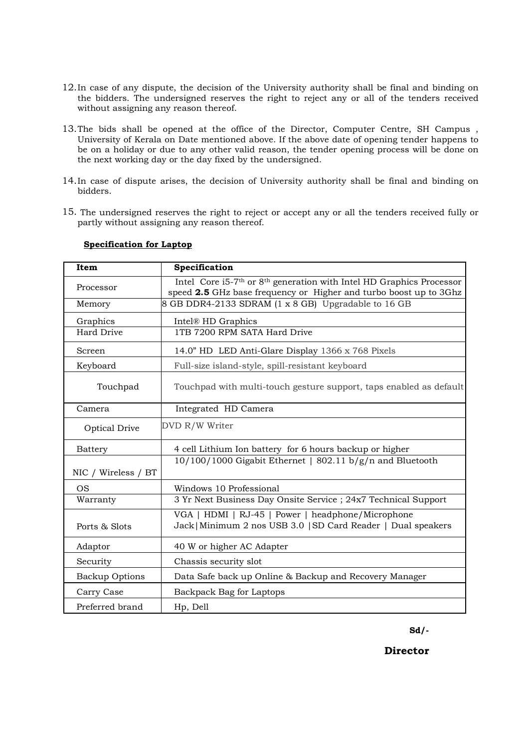- 12.In case of any dispute, the decision of the University authority shall be final and binding on the bidders. The undersigned reserves the right to reject any or all of the tenders received without assigning any reason thereof.
- 13.The bids shall be opened at the office of the Director, Computer Centre, SH Campus , University of Kerala on Date mentioned above. If the above date of opening tender happens to be on a holiday or due to any other valid reason, the tender opening process will be done on the next working day or the day fixed by the undersigned.
- 14.In case of dispute arises, the decision of University authority shall be final and binding on bidders.
- 15. The undersigned reserves the right to reject or accept any or all the tenders received fully or partly without assigning any reason thereof.

| Item                  | Specification                                                                                                                                                     |  |  |
|-----------------------|-------------------------------------------------------------------------------------------------------------------------------------------------------------------|--|--|
| Processor             | Intel Core i5-7 <sup>th</sup> or 8 <sup>th</sup> generation with Intel HD Graphics Processor<br>speed 2.5 GHz base frequency or Higher and turbo boost up to 3Ghz |  |  |
| Memory                | 8 GB DDR4-2133 SDRAM (1 x 8 GB) Upgradable to 16 GB                                                                                                               |  |  |
| Graphics              | Intel® HD Graphics                                                                                                                                                |  |  |
| <b>Hard Drive</b>     | 1TB 7200 RPM SATA Hard Drive                                                                                                                                      |  |  |
| Screen                | 14.0" HD LED Anti-Glare Display 1366 x 768 Pixels                                                                                                                 |  |  |
| Keyboard              | Full-size island-style, spill-resistant keyboard                                                                                                                  |  |  |
| Touchpad              | Touchpad with multi-touch gesture support, taps enabled as default                                                                                                |  |  |
| Camera                | Integrated HD Camera                                                                                                                                              |  |  |
| Optical Drive         | DVD R/W Writer                                                                                                                                                    |  |  |
| <b>Battery</b>        | 4 cell Lithium Ion battery for 6 hours backup or higher                                                                                                           |  |  |
|                       | 10/100/1000 Gigabit Ethernet   802.11 b/g/n and Bluetooth                                                                                                         |  |  |
| NIC / Wireless / BT   |                                                                                                                                                                   |  |  |
| <b>OS</b>             | Windows 10 Professional                                                                                                                                           |  |  |
| Warranty              | 3 Yr Next Business Day Onsite Service ; 24x7 Technical Support                                                                                                    |  |  |
| Ports & Slots         | VGA   HDMI   RJ-45   Power   headphone/Microphone<br>Jack   Minimum 2 nos USB 3.0   SD Card Reader   Dual speakers                                                |  |  |
| Adaptor               | 40 W or higher AC Adapter                                                                                                                                         |  |  |
| Security              | Chassis security slot                                                                                                                                             |  |  |
| <b>Backup Options</b> | Data Safe back up Online & Backup and Recovery Manager                                                                                                            |  |  |
| Carry Case            | Backpack Bag for Laptops                                                                                                                                          |  |  |
| Preferred brand       | Hp, Dell                                                                                                                                                          |  |  |

#### **Specification for Laptop**

**Sd/-**

**Director**